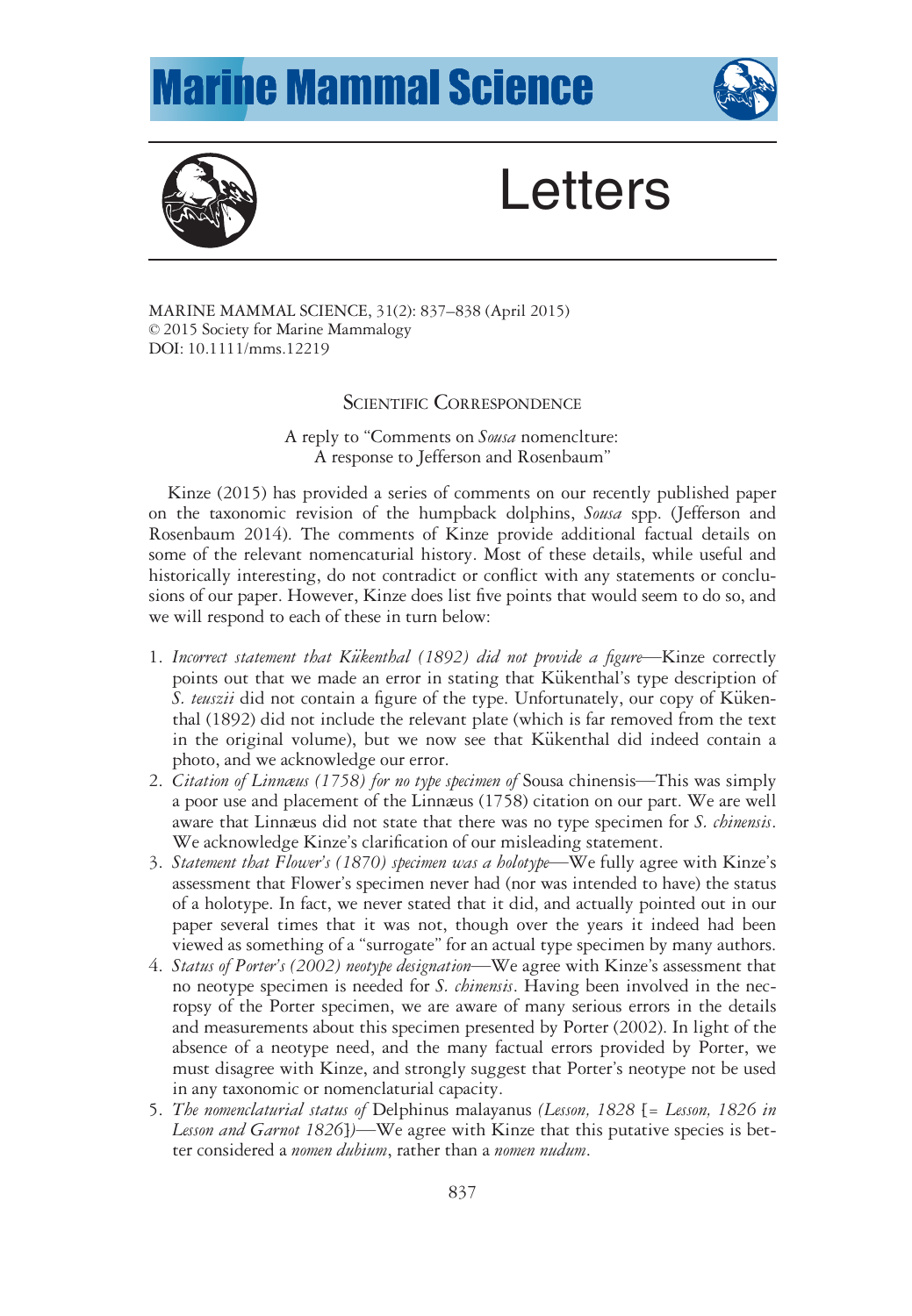## **Marine Mammal Science**





## **Letters**

MARINE MAMMAL SCIENCE, 31(2): 837–838 (April 2015) © 2015 Society for Marine Mammalogy DOI: 10.1111/mms.12219

## SCIENTIFIC CORRESPONDENCE

A reply to "Comments on Sousa nomenclture: A response to Jefferson and Rosenbaum"

Kinze (2015) has provided a series of comments on our recently published paper on the taxonomic revision of the humpback dolphins, Sousa spp. (Jefferson and Rosenbaum 2014). The comments of Kinze provide additional factual details on some of the relevant nomencaturial history. Most of these details, while useful and historically interesting, do not contradict or conflict with any statements or conclusions of our paper. However, Kinze does list five points that would seem to do so, and we will respond to each of these in turn below:

- 1. Incorrect statement that Kükenthal (1892) did not provide a figure—Kinze correctly points out that we made an error in stating that Kükenthal's type description of S. teuszii did not contain a figure of the type. Unfortunately, our copy of Kükenthal (1892) did not include the relevant plate (which is far removed from the text in the original volume), but we now see that Kükenthal did indeed contain a photo, and we acknowledge our error.
- 2. Citation of Linnæus (1758) for no type specimen of Sousa chinensis—This was simply a poor use and placement of the Linnæus (1758) citation on our part. We are well aware that Linnæus did not state that there was no type specimen for *S. chinensis*. We acknowledge Kinze's clarification of our misleading statement.
- 3. Statement that Flower's (1870) specimen was a holotype—We fully agree with Kinze's assessment that Flower's specimen never had (nor was intended to have) the status of a holotype. In fact, we never stated that it did, and actually pointed out in our paper several times that it was not, though over the years it indeed had been viewed as something of a "surrogate" for an actual type specimen by many authors.
- 4. Status of Porter's (2002) neotype designation—We agree with Kinze's assessment that no neotype specimen is needed for *S. chinensis*. Having been involved in the necropsy of the Porter specimen, we are aware of many serious errors in the details and measurements about this specimen presented by Porter (2002). In light of the absence of a neotype need, and the many factual errors provided by Porter, we must disagree with Kinze, and strongly suggest that Porter's neotype not be used in any taxonomic or nomenclaturial capacity.
- 5. The nomenclaturial status of Delphinus malayanus (Lesson, 1828 [= Lesson, 1826 in Lesson and Garnot 1826])—We agree with Kinze that this putative species is better considered a *nomen dubium*, rather than a *nomen nudum*.